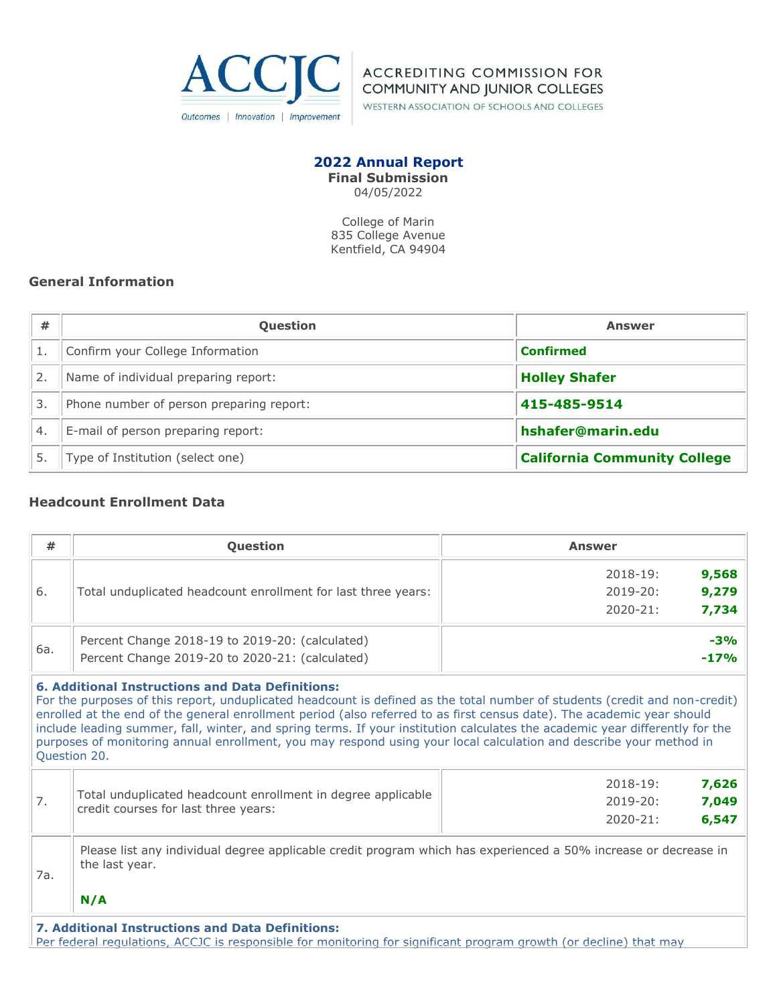

**ACCREDITING COMMISSION FOR COMMUNITY AND JUNIOR COLLEGES** 

WESTERN ASSOCIATION OF SCHOOLS AND COLLEGES

## **2022 Annual Report Final Submission**

04/05/2022

College of Marin 835 College Avenue Kentfield, CA 94904

# **General Information**

| #                | <b>Question</b>                          | <b>Answer</b>                       |
|------------------|------------------------------------------|-------------------------------------|
|                  | Confirm your College Information         | <b>Confirmed</b>                    |
| 2.               | Name of individual preparing report:     | <b>Holley Shafer</b>                |
| 3.               | Phone number of person preparing report: | 415-485-9514                        |
| $\overline{4}$ . | E-mail of person preparing report:       | hshafer@marin.edu                   |
|                  | Type of Institution (select one)         | <b>California Community College</b> |

## **Headcount Enrollment Data**

| #   | Question                                                                                                                                                                                                                                                                                                                                                                                                                                                                                                                                                                              | <b>Answer</b>         |
|-----|---------------------------------------------------------------------------------------------------------------------------------------------------------------------------------------------------------------------------------------------------------------------------------------------------------------------------------------------------------------------------------------------------------------------------------------------------------------------------------------------------------------------------------------------------------------------------------------|-----------------------|
|     |                                                                                                                                                                                                                                                                                                                                                                                                                                                                                                                                                                                       | 9,568<br>$2018 - 19:$ |
| 6.  | Total unduplicated headcount enrollment for last three years:                                                                                                                                                                                                                                                                                                                                                                                                                                                                                                                         | 9,279<br>$2019 - 20:$ |
|     |                                                                                                                                                                                                                                                                                                                                                                                                                                                                                                                                                                                       | 7,734<br>$2020 - 21:$ |
| 6a. | Percent Change 2018-19 to 2019-20: (calculated)                                                                                                                                                                                                                                                                                                                                                                                                                                                                                                                                       | $-3%$                 |
|     | Percent Change 2019-20 to 2020-21: (calculated)                                                                                                                                                                                                                                                                                                                                                                                                                                                                                                                                       | $-17%$                |
|     | <b>6. Additional Instructions and Data Definitions:</b><br>For the purposes of this report, unduplicated headcount is defined as the total number of students (credit and non-credit)<br>enrolled at the end of the general enrollment period (also referred to as first census date). The academic year should<br>include leading summer, fall, winter, and spring terms. If your institution calculates the academic year differently for the<br>purposes of monitoring annual enrollment, you may respond using your local calculation and describe your method in<br>Question 20. |                       |
|     |                                                                                                                                                                                                                                                                                                                                                                                                                                                                                                                                                                                       | $2018 - 19:$<br>7,626 |
| 7.  | Total unduplicated headcount enrollment in degree applicable<br>credit courses for last three years:                                                                                                                                                                                                                                                                                                                                                                                                                                                                                  | 7,049<br>$2019 - 20:$ |
|     |                                                                                                                                                                                                                                                                                                                                                                                                                                                                                                                                                                                       | 6,547<br>$2020 - 21:$ |
| 7a. | Please list any individual degree applicable credit program which has experienced a 50% increase or decrease in<br>the last year.<br>N/A                                                                                                                                                                                                                                                                                                                                                                                                                                              |                       |
|     | <b>7. Additional Instructions and Data Definitions:</b>                                                                                                                                                                                                                                                                                                                                                                                                                                                                                                                               |                       |

Per federal regulations, ACCJC is responsible for monitoring for significant program growth (or decline) that may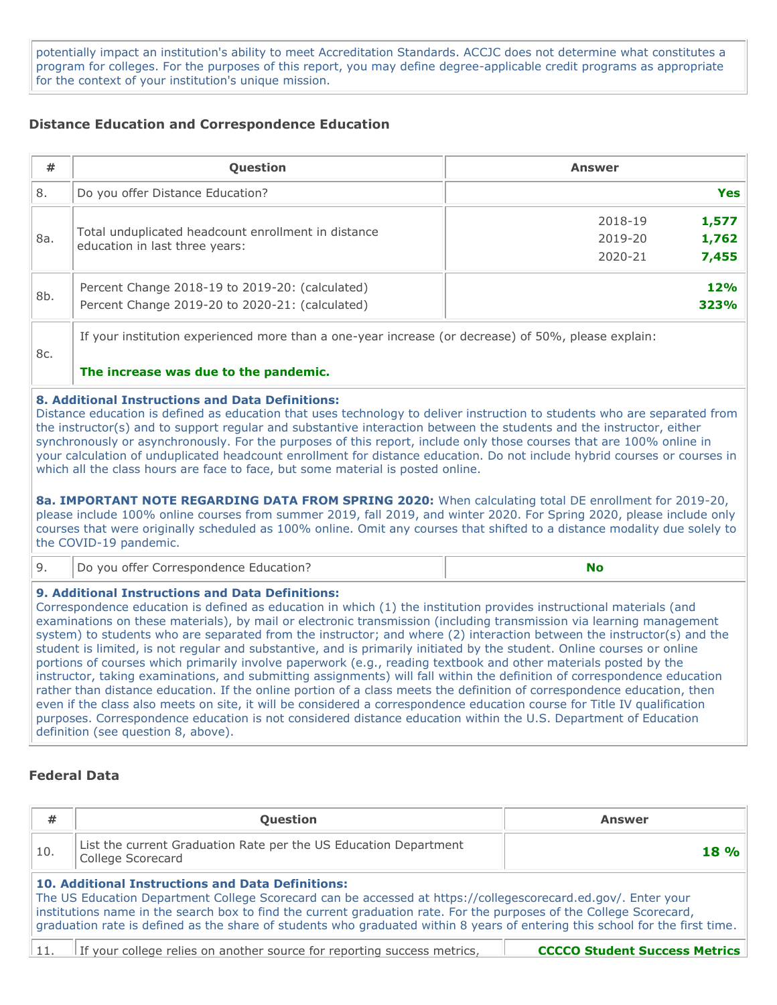potentially impact an institution's ability to meet Accreditation Standards. ACCJC does not determine what constitutes a program for colleges. For the purposes of this report, you may define degree-applicable credit programs as appropriate for the context of your institution's unique mission.

## **Distance Education and Correspondence Education**

| #   | Question                                                                                                                                                                                                                                                                                                                                                                                                                                                                                                                                                                                                                                                                                                                                                                                                                                                                                                                                                                                                                                      | <b>Answer</b>                                            |  |  |  |  |
|-----|-----------------------------------------------------------------------------------------------------------------------------------------------------------------------------------------------------------------------------------------------------------------------------------------------------------------------------------------------------------------------------------------------------------------------------------------------------------------------------------------------------------------------------------------------------------------------------------------------------------------------------------------------------------------------------------------------------------------------------------------------------------------------------------------------------------------------------------------------------------------------------------------------------------------------------------------------------------------------------------------------------------------------------------------------|----------------------------------------------------------|--|--|--|--|
| 8.  | Do you offer Distance Education?                                                                                                                                                                                                                                                                                                                                                                                                                                                                                                                                                                                                                                                                                                                                                                                                                                                                                                                                                                                                              | <b>Yes</b>                                               |  |  |  |  |
| 8a. | Total unduplicated headcount enrollment in distance<br>education in last three years:                                                                                                                                                                                                                                                                                                                                                                                                                                                                                                                                                                                                                                                                                                                                                                                                                                                                                                                                                         | 1,577<br>2018-19<br>1,762<br>2019-20<br>7,455<br>2020-21 |  |  |  |  |
| 8b. | Percent Change 2018-19 to 2019-20: (calculated)<br>Percent Change 2019-20 to 2020-21: (calculated)                                                                                                                                                                                                                                                                                                                                                                                                                                                                                                                                                                                                                                                                                                                                                                                                                                                                                                                                            | 12%<br>323%                                              |  |  |  |  |
| 8c. | If your institution experienced more than a one-year increase (or decrease) of 50%, please explain:<br>The increase was due to the pandemic.                                                                                                                                                                                                                                                                                                                                                                                                                                                                                                                                                                                                                                                                                                                                                                                                                                                                                                  |                                                          |  |  |  |  |
|     | <b>8. Additional Instructions and Data Definitions:</b><br>Distance education is defined as education that uses technology to deliver instruction to students who are separated from<br>the instructor(s) and to support regular and substantive interaction between the students and the instructor, either<br>synchronously or asynchronously. For the purposes of this report, include only those courses that are 100% online in<br>your calculation of unduplicated headcount enrollment for distance education. Do not include hybrid courses or courses in<br>which all the class hours are face to face, but some material is posted online.<br>8a. IMPORTANT NOTE REGARDING DATA FROM SPRING 2020: When calculating total DE enrollment for 2019-20,<br>please include 100% online courses from summer 2019, fall 2019, and winter 2020. For Spring 2020, please include only<br>courses that were originally scheduled as 100% online. Omit any courses that shifted to a distance modality due solely to<br>the COVID-19 pandemic. |                                                          |  |  |  |  |
| 9.  | Do you offer Correspondence Education?                                                                                                                                                                                                                                                                                                                                                                                                                                                                                                                                                                                                                                                                                                                                                                                                                                                                                                                                                                                                        | <b>No</b>                                                |  |  |  |  |

#### **9. Additional Instructions and Data Definitions:**

Correspondence education is defined as education in which (1) the institution provides instructional materials (and examinations on these materials), by mail or electronic transmission (including transmission via learning management system) to students who are separated from the instructor; and where (2) interaction between the instructor(s) and the student is limited, is not regular and substantive, and is primarily initiated by the student. Online courses or online portions of courses which primarily involve paperwork (e.g., reading textbook and other materials posted by the instructor, taking examinations, and submitting assignments) will fall within the definition of correspondence education rather than distance education. If the online portion of a class meets the definition of correspondence education, then even if the class also meets on site, it will be considered a correspondence education course for Title IV qualification purposes. Correspondence education is not considered distance education within the U.S. Department of Education definition (see question 8, above).

## **Federal Data**

| #                                                                                                                                                                                                                                                                                                                                                                                                                         | Question                                                                                                        | <b>Answer</b> |  |  |  |
|---------------------------------------------------------------------------------------------------------------------------------------------------------------------------------------------------------------------------------------------------------------------------------------------------------------------------------------------------------------------------------------------------------------------------|-----------------------------------------------------------------------------------------------------------------|---------------|--|--|--|
| 10.                                                                                                                                                                                                                                                                                                                                                                                                                       | List the current Graduation Rate per the US Education Department<br>College Scorecard                           | <b>18%</b>    |  |  |  |
| 10. Additional Instructions and Data Definitions:<br>The US Education Department College Scorecard can be accessed at https://collegescorecard.ed.gov/. Enter your<br>institutions name in the search box to find the current graduation rate. For the purposes of the College Scorecard,<br>graduation rate is defined as the share of students who graduated within 8 years of entering this school for the first time. |                                                                                                                 |               |  |  |  |
| 11.                                                                                                                                                                                                                                                                                                                                                                                                                       | If your college relies on another source for reporting success metrics.<br><b>CCCCO Student Success Metrics</b> |               |  |  |  |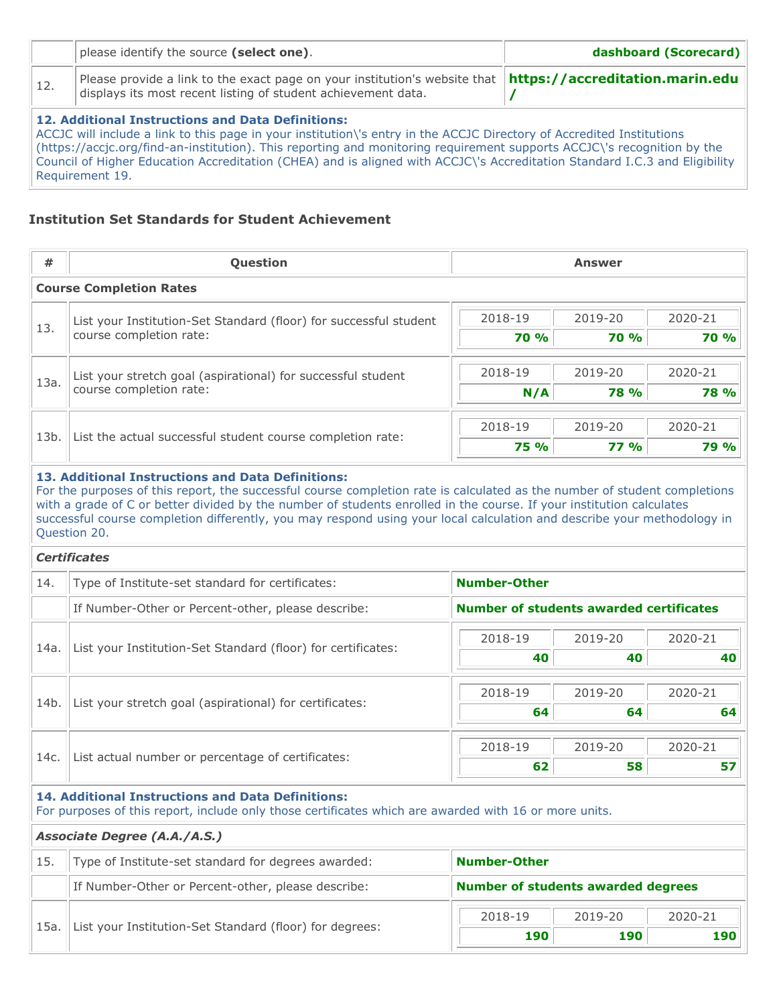|                                                                                                                                                                                                                                                                                                                                                   | please identify the source (select one). | dashboard (Scorecard) |  |  |  |
|---------------------------------------------------------------------------------------------------------------------------------------------------------------------------------------------------------------------------------------------------------------------------------------------------------------------------------------------------|------------------------------------------|-----------------------|--|--|--|
| Please provide a link to the exact page on your institution's website that $\ $ https://accreditation.marin.edu $\ $<br>12.<br>displays its most recent listing of student achievement data.                                                                                                                                                      |                                          |                       |  |  |  |
| 12. Additional Instructions and Data Definitions:<br>ACCJC will include a link to this page in your institution\'s entry in the ACCJC Directory of Accredited Institutions<br>$h_{\text{th}}$ / $h_{\text{th}}$ / $h_{\text{th}}$ and $h_{\text{th}}$ institution). This repeting and menitoring requirement supports ACCIC is researching by the |                                          |                       |  |  |  |

(https://accjc.org/find-an-institution). This reporting and monitoring requirement supports ACCJC\'s recognition by the Council of Higher Education Accreditation (CHEA) and is aligned with ACCJC\'s Accreditation Standard I.C.3 and Eligibility Requirement 19.

## **Institution Set Standards for Student Achievement**

| #    | <b>Question</b>                                                   |                    |                  |             |
|------|-------------------------------------------------------------------|--------------------|------------------|-------------|
|      | <b>Course Completion Rates</b>                                    |                    |                  |             |
|      | List your Institution-Set Standard (floor) for successful student | 2019-20<br>2018-19 |                  | 2020-21     |
| 13.  | course completion rate:                                           | <b>70 %</b>        | <b>70 %</b>      | <b>70 %</b> |
| 13a. | List your stretch goal (aspirational) for successful student      | 2018-19            | 2019-20          | 2020-21     |
|      | course completion rate:                                           | N/A                | <b>78 %</b>      | <b>78 %</b> |
| 13b. |                                                                   | 2018-19            | 2020-21          |             |
|      | List the actual successful student course completion rate:        | <b>75 %</b>        | 2019-20<br>77.96 | 79 %        |

## **13. Additional Instructions and Data Definitions:**

For the purposes of this report, the successful course completion rate is calculated as the number of student completions with a grade of C or better divided by the number of students enrolled in the course. If your institution calculates successful course completion differently, you may respond using your local calculation and describe your methodology in Question 20.

#### *Certificates*

| 14.  | Type of Institute-set standard for certificates:             | <b>Number-Other</b>                            |         |         |  |
|------|--------------------------------------------------------------|------------------------------------------------|---------|---------|--|
|      | If Number-Other or Percent-other, please describe:           | <b>Number of students awarded certificates</b> |         |         |  |
| 14a. | List your Institution-Set Standard (floor) for certificates: | 2018-19                                        | 2019-20 | 2020-21 |  |
|      |                                                              | 40                                             | 40      | 40      |  |
| 14b. |                                                              | 2018-19                                        | 2019-20 | 2020-21 |  |
|      | List your stretch goal (aspirational) for certificates:      | 64                                             | 64      | 64      |  |
| 14c. | List actual number or percentage of certificates:            | 2018-19<br>2019-20                             |         | 2020-21 |  |
|      |                                                              | 62                                             | 58      | 57      |  |

#### **14. Additional Instructions and Data Definitions:**

For purposes of this report, include only those certificates which are awarded with 16 or more units.

#### *Associate Degree (A.A./A.S.)*

| 15    | Type of Institute-set standard for degrees awarded:     | Number-Other                       |  |  |  |
|-------|---------------------------------------------------------|------------------------------------|--|--|--|
|       | If Number-Other or Percent-other, please describe:      | Number of students awarded degrees |  |  |  |
| `15a. | List your Institution-Set Standard (floor) for degrees: | 2018-19<br>2019-20<br>2020-21      |  |  |  |
|       |                                                         | 190<br>190<br>190                  |  |  |  |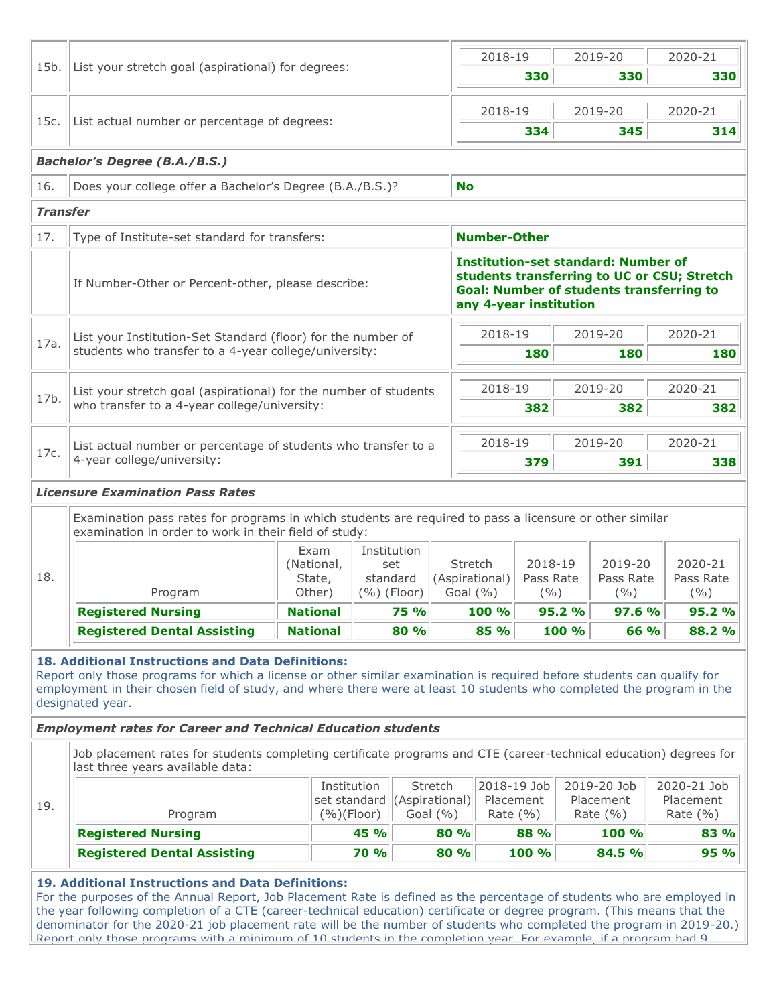| List actual number or percentage of degrees:                                                                                                          |                                                                       |                                                                                               |                                                                                                                                                                     |                                                                                                               |                                                                                                                                                                        |                                |                                                                    |                                                   |                                                                                                                                                                                                                                                                                                                                                                                                                                           |
|-------------------------------------------------------------------------------------------------------------------------------------------------------|-----------------------------------------------------------------------|-----------------------------------------------------------------------------------------------|---------------------------------------------------------------------------------------------------------------------------------------------------------------------|---------------------------------------------------------------------------------------------------------------|------------------------------------------------------------------------------------------------------------------------------------------------------------------------|--------------------------------|--------------------------------------------------------------------|---------------------------------------------------|-------------------------------------------------------------------------------------------------------------------------------------------------------------------------------------------------------------------------------------------------------------------------------------------------------------------------------------------------------------------------------------------------------------------------------------------|
|                                                                                                                                                       | List your stretch goal (aspirational) for degrees:                    |                                                                                               |                                                                                                                                                                     |                                                                                                               | 2018-19                                                                                                                                                                | 330                            |                                                                    | 2019-20<br>330                                    | 2020-21<br>330                                                                                                                                                                                                                                                                                                                                                                                                                            |
|                                                                                                                                                       |                                                                       |                                                                                               |                                                                                                                                                                     |                                                                                                               |                                                                                                                                                                        |                                |                                                                    |                                                   |                                                                                                                                                                                                                                                                                                                                                                                                                                           |
|                                                                                                                                                       |                                                                       |                                                                                               |                                                                                                                                                                     |                                                                                                               | 2018-19                                                                                                                                                                |                                |                                                                    | 2019-20                                           | 2020-21                                                                                                                                                                                                                                                                                                                                                                                                                                   |
|                                                                                                                                                       |                                                                       |                                                                                               |                                                                                                                                                                     |                                                                                                               |                                                                                                                                                                        | 334                            |                                                                    | 345                                               | 314                                                                                                                                                                                                                                                                                                                                                                                                                                       |
| <b>Bachelor's Degree (B.A./B.S.)</b>                                                                                                                  |                                                                       |                                                                                               |                                                                                                                                                                     |                                                                                                               |                                                                                                                                                                        |                                |                                                                    |                                                   |                                                                                                                                                                                                                                                                                                                                                                                                                                           |
| Does your college offer a Bachelor's Degree (B.A./B.S.)?                                                                                              |                                                                       |                                                                                               |                                                                                                                                                                     | <b>No</b>                                                                                                     |                                                                                                                                                                        |                                |                                                                    |                                                   |                                                                                                                                                                                                                                                                                                                                                                                                                                           |
| <b>Transfer</b>                                                                                                                                       |                                                                       |                                                                                               |                                                                                                                                                                     |                                                                                                               |                                                                                                                                                                        |                                |                                                                    |                                                   |                                                                                                                                                                                                                                                                                                                                                                                                                                           |
|                                                                                                                                                       |                                                                       |                                                                                               |                                                                                                                                                                     |                                                                                                               |                                                                                                                                                                        |                                |                                                                    |                                                   |                                                                                                                                                                                                                                                                                                                                                                                                                                           |
| If Number-Other or Percent-other, please describe:                                                                                                    |                                                                       |                                                                                               |                                                                                                                                                                     |                                                                                                               | <b>Institution-set standard: Number of</b><br>students transferring to UC or CSU; Stretch<br><b>Goal: Number of students transferring to</b><br>any 4-year institution |                                |                                                                    |                                                   |                                                                                                                                                                                                                                                                                                                                                                                                                                           |
|                                                                                                                                                       |                                                                       |                                                                                               |                                                                                                                                                                     |                                                                                                               |                                                                                                                                                                        |                                |                                                                    |                                                   | 2020-21                                                                                                                                                                                                                                                                                                                                                                                                                                   |
|                                                                                                                                                       |                                                                       |                                                                                               |                                                                                                                                                                     |                                                                                                               |                                                                                                                                                                        | 180                            |                                                                    | 180                                               | 180                                                                                                                                                                                                                                                                                                                                                                                                                                       |
|                                                                                                                                                       |                                                                       |                                                                                               |                                                                                                                                                                     |                                                                                                               |                                                                                                                                                                        |                                |                                                                    |                                                   | 2020-21                                                                                                                                                                                                                                                                                                                                                                                                                                   |
|                                                                                                                                                       |                                                                       |                                                                                               |                                                                                                                                                                     |                                                                                                               |                                                                                                                                                                        |                                |                                                                    | 382                                               |                                                                                                                                                                                                                                                                                                                                                                                                                                           |
|                                                                                                                                                       |                                                                       |                                                                                               |                                                                                                                                                                     |                                                                                                               |                                                                                                                                                                        |                                |                                                                    |                                                   |                                                                                                                                                                                                                                                                                                                                                                                                                                           |
|                                                                                                                                                       |                                                                       |                                                                                               |                                                                                                                                                                     |                                                                                                               |                                                                                                                                                                        |                                | 2019-20                                                            |                                                   | 2020-21                                                                                                                                                                                                                                                                                                                                                                                                                                   |
|                                                                                                                                                       |                                                                       |                                                                                               |                                                                                                                                                                     |                                                                                                               |                                                                                                                                                                        |                                | 338                                                                |                                                   |                                                                                                                                                                                                                                                                                                                                                                                                                                           |
| Program                                                                                                                                               | Exam<br>(National,<br>State,<br>Other)                                |                                                                                               |                                                                                                                                                                     |                                                                                                               | <b>Stretch</b>                                                                                                                                                         |                                |                                                                    | $($ %)                                            | 2020-21<br>Pass Rate<br>( %)                                                                                                                                                                                                                                                                                                                                                                                                              |
| <b>Registered Nursing</b>                                                                                                                             | <b>National</b>                                                       |                                                                                               | <b>75 %</b>                                                                                                                                                         |                                                                                                               | 100 %                                                                                                                                                                  |                                |                                                                    |                                                   | 95.2 %                                                                                                                                                                                                                                                                                                                                                                                                                                    |
| <b>Registered Dental Assisting</b>                                                                                                                    | <b>National</b>                                                       |                                                                                               | 80 %                                                                                                                                                                |                                                                                                               | 85 %                                                                                                                                                                   |                                |                                                                    |                                                   | 88.2 %                                                                                                                                                                                                                                                                                                                                                                                                                                    |
| designated year.<br><b>Employment rates for Career and Technical Education students</b>                                                               |                                                                       |                                                                                               |                                                                                                                                                                     |                                                                                                               |                                                                                                                                                                        |                                |                                                                    |                                                   |                                                                                                                                                                                                                                                                                                                                                                                                                                           |
|                                                                                                                                                       |                                                                       |                                                                                               |                                                                                                                                                                     |                                                                                                               |                                                                                                                                                                        |                                |                                                                    |                                                   |                                                                                                                                                                                                                                                                                                                                                                                                                                           |
| Job placement rates for students completing certificate programs and CTE (career-technical education) degrees for<br>last three years available data: |                                                                       |                                                                                               |                                                                                                                                                                     |                                                                                                               |                                                                                                                                                                        |                                |                                                                    |                                                   |                                                                                                                                                                                                                                                                                                                                                                                                                                           |
| Program                                                                                                                                               |                                                                       | Institution<br>set standard<br>(%)(Floor)                                                     | (Aspirational)                                                                                                                                                      | Stretch<br>Goal $(% )$                                                                                        | 2018-19 Job<br>Placement<br>Rate $(\% )$                                                                                                                               |                                |                                                                    | 2019-20 Job<br>Placement<br>Rate $(% )$           | 2020-21 Job<br>Placement<br>Rate $(\% )$                                                                                                                                                                                                                                                                                                                                                                                                  |
| <b>Registered Nursing</b>                                                                                                                             |                                                                       | 45 %                                                                                          |                                                                                                                                                                     | 80 %                                                                                                          |                                                                                                                                                                        | 88 %                           |                                                                    | 100 %                                             | 83 %                                                                                                                                                                                                                                                                                                                                                                                                                                      |
|                                                                                                                                                       | 4-year college/university:<br><b>Licensure Examination Pass Rates</b> | Type of Institute-set standard for transfers:<br>who transfer to a 4-year college/university: | students who transfer to a 4-year college/university:<br>examination in order to work in their field of study:<br>18. Additional Instructions and Data Definitions: | List your Institution-Set Standard (floor) for the number of<br>Institution<br>set<br>standard<br>(%) (Floor) | List your stretch goal (aspirational) for the number of students<br>List actual number or percentage of students who transfer to a                                     | (Aspirational)<br>Goal $(\% )$ | <b>Number-Other</b><br>2018-19<br>2018-19<br>382<br>2018-19<br>379 | 2018-19<br>Pass Rate<br>$($ %)<br>95.2 %<br>100 % | 2019-20<br>2019-20<br>382<br>391<br>Examination pass rates for programs in which students are required to pass a licensure or other similar<br>2019-20<br>Pass Rate<br>97.6 %<br>66 %<br>Report only those programs for which a license or other similar examination is required before students can qualify for<br>employment in their chosen field of study, and where there were at least 10 students who completed the program in the |

 $\Gamma$